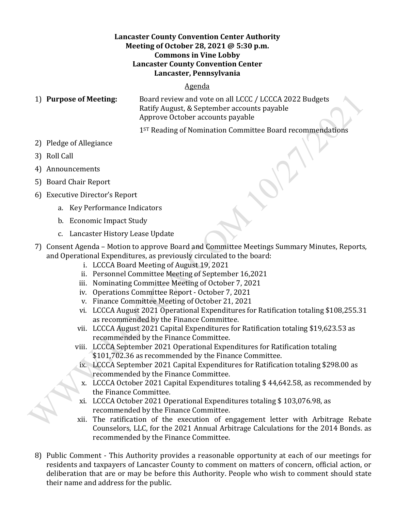## **Lancaster County Convention Center Authority Meeting of October 28, 2021 @ 5:30 p.m. Commons in Vine Lobby Lancaster County Convention Center Lancaster, Pennsylvania**

## Agenda

1) **Purpose of Meeting:** Board review and vote on all LCCC / LCCCA 2022 Budgets Ratify August, & September accounts payable Approve October accounts payable

1<sup>ST</sup> Reading of Nomination Committee Board recommendations

- 2) Pledge of Allegiance
- 3) Roll Call
- 4) Announcements
- 5) Board Chair Report
- 6) Executive Director's Report
	- a. Key Performance Indicators
	- b. Economic Impact Study
	- c. Lancaster History Lease Update
- 7) Consent Agenda Motion to approve Board and Committee Meetings Summary Minutes, Reports, and Operational Expenditures, as previously circulated to the board:
	- i. LCCCA Board Meeting of August 19, 2021
	- ii. Personnel Committee Meeting of September 16,2021
	- iii. Nominating Committee Meeting of October 7, 2021
	- iv. Operations Committee Report October 7, 2021
	- v. Finance Committee Meeting of October 21, 2021
	- vi. LCCCA August 2021 Operational Expenditures for Ratification totaling \$108,255.31 as recommended by the Finance Committee.
	- vii. LCCCA August 2021 Capital Expenditures for Ratification totaling \$19,623.53 as recommended by the Finance Committee.
	- viii. LCCCA September 2021 Operational Expenditures for Ratification totaling \$101,702.36 as recommended by the Finance Committee.
	- ix. LCCCA September 2021 Capital Expenditures for Ratification totaling \$298.00 as recommended by the Finance Committee.
	- x. LCCCA October 2021 Capital Expenditures totaling \$ 44,642.58, as recommended by the Finance Committee.
	- xi. LCCCA October 2021 Operational Expenditures totaling \$ 103,076.98, as recommended by the Finance Committee.
	- xii. The ratification of the execution of engagement letter with Arbitrage Rebate Counselors, LLC, for the 2021 Annual Arbitrage Calculations for the 2014 Bonds. as recommended by the Finance Committee.
- 8) Public Comment This Authority provides a reasonable opportunity at each of our meetings for residents and taxpayers of Lancaster County to comment on matters of concern, official action, or deliberation that are or may be before this Authority. People who wish to comment should state their name and address for the public.